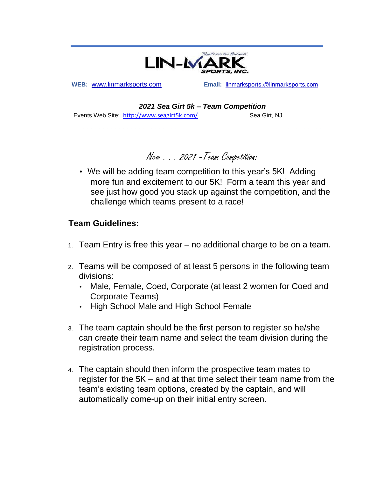

**WEB:** [www.linmarksports.com](http://www.linmarksports.com/)**Email:** linmar[kspo](https://linmarksports.com/)rts.@linmarksports.com

*2021 Sea Girt 5k – Team Competition* 

**\_\_\_\_\_\_\_\_\_\_\_\_\_\_\_\_\_\_\_\_\_\_\_\_\_\_\_\_\_\_\_\_\_\_\_\_\_\_\_\_\_\_\_\_\_\_\_\_\_\_\_\_\_\_\_\_\_\_\_\_\_** 

Events Web Site: <http://www.seagirt5k.com/> Sea Girt, NJ

New . . . 2021 -Team Competition:

• We will be adding team competition to this year's 5K! Adding more fun and excitement to our 5K! Form a team this year and see just how good you stack up against the competition, and the challenge which teams present to a race!

## **Team Guidelines:**

- 1. Team Entry is free this year no additional charge to be on a team.
- 2. Teams will be composed of at least 5 persons in the following team divisions:
	- Male, Female, Coed, Corporate (at least 2 women for Coed and Corporate Teams)
	- High School Male and High School Female
- 3. The team captain should be the first person to register so he/she can create their team name and select the team division during the registration process.
- 4. The captain should then inform the prospective team mates to register for the 5K – and at that time select their team name from the team's existing team options, created by the captain, and will automatically come-up on their initial entry screen.